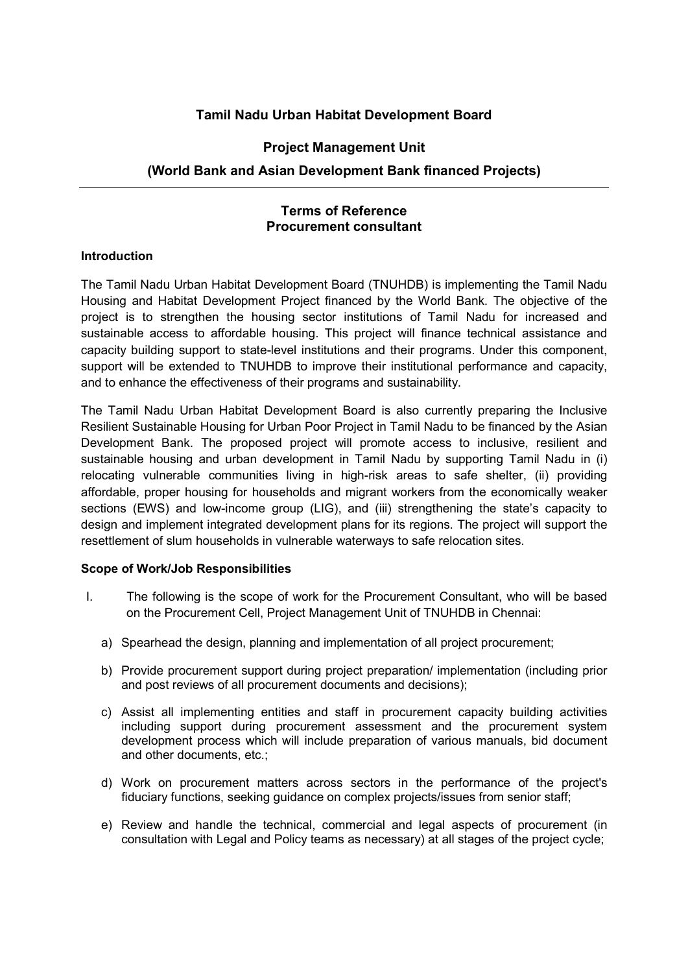# Tamil Nadu Urban Habitat Development Board

## Project Management Unit

# (World Bank and Asian Development Bank financed Projects)

## Terms of Reference Procurement consultant

#### **Introduction**

The Tamil Nadu Urban Habitat Development Board (TNUHDB) is implementing the Tamil Nadu Housing and Habitat Development Project financed by the World Bank. The objective of the project is to strengthen the housing sector institutions of Tamil Nadu for increased and sustainable access to affordable housing. This project will finance technical assistance and capacity building support to state-level institutions and their programs. Under this component, support will be extended to TNUHDB to improve their institutional performance and capacity, and to enhance the effectiveness of their programs and sustainability.

The Tamil Nadu Urban Habitat Development Board is also currently preparing the Inclusive Resilient Sustainable Housing for Urban Poor Project in Tamil Nadu to be financed by the Asian Development Bank. The proposed project will promote access to inclusive, resilient and sustainable housing and urban development in Tamil Nadu by supporting Tamil Nadu in (i) relocating vulnerable communities living in high-risk areas to safe shelter, (ii) providing affordable, proper housing for households and migrant workers from the economically weaker sections (EWS) and low-income group (LIG), and (iii) strengthening the state's capacity to design and implement integrated development plans for its regions. The project will support the resettlement of slum households in vulnerable waterways to safe relocation sites.

#### Scope of Work/Job Responsibilities

- I. The following is the scope of work for the Procurement Consultant, who will be based on the Procurement Cell, Project Management Unit of TNUHDB in Chennai:
	- a) Spearhead the design, planning and implementation of all project procurement;
	- b) Provide procurement support during project preparation/ implementation (including prior and post reviews of all procurement documents and decisions);
	- c) Assist all implementing entities and staff in procurement capacity building activities including support during procurement assessment and the procurement system development process which will include preparation of various manuals, bid document and other documents, etc.;
	- d) Work on procurement matters across sectors in the performance of the project's fiduciary functions, seeking guidance on complex projects/issues from senior staff;
	- e) Review and handle the technical, commercial and legal aspects of procurement (in consultation with Legal and Policy teams as necessary) at all stages of the project cycle;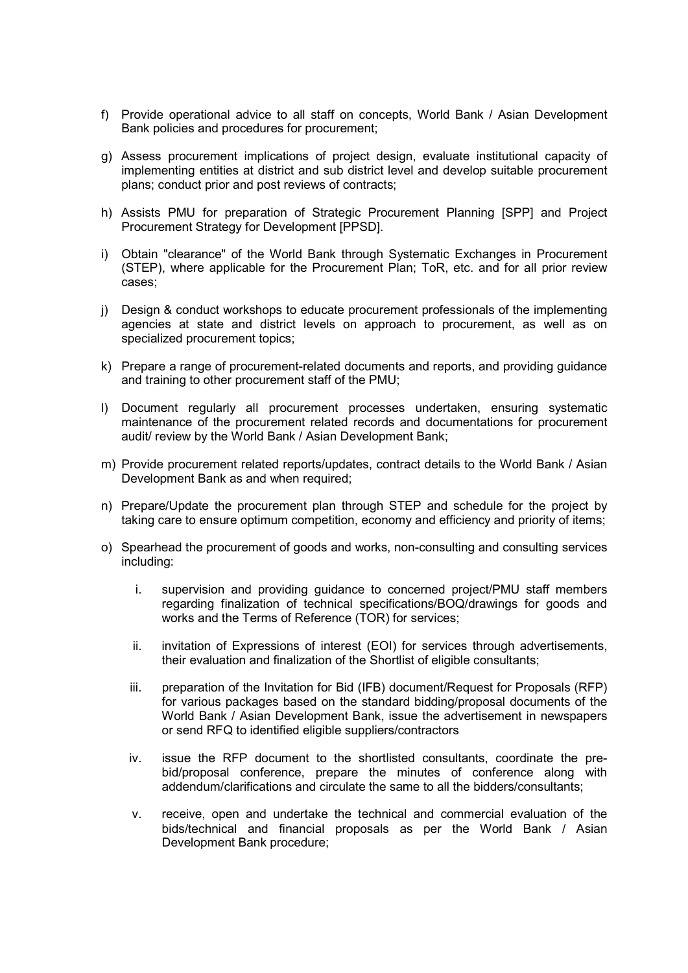- f) Provide operational advice to all staff on concepts, World Bank / Asian Development Bank policies and procedures for procurement;
- g) Assess procurement implications of project design, evaluate institutional capacity of implementing entities at district and sub district level and develop suitable procurement plans; conduct prior and post reviews of contracts;
- h) Assists PMU for preparation of Strategic Procurement Planning [SPP] and Project Procurement Strategy for Development [PPSD].
- i) Obtain "clearance" of the World Bank through Systematic Exchanges in Procurement (STEP), where applicable for the Procurement Plan; ToR, etc. and for all prior review cases;
- j) Design & conduct workshops to educate procurement professionals of the implementing agencies at state and district levels on approach to procurement, as well as on specialized procurement topics;
- k) Prepare a range of procurement-related documents and reports, and providing guidance and training to other procurement staff of the PMU;
- l) Document regularly all procurement processes undertaken, ensuring systematic maintenance of the procurement related records and documentations for procurement audit/ review by the World Bank / Asian Development Bank;
- m) Provide procurement related reports/updates, contract details to the World Bank / Asian Development Bank as and when required;
- n) Prepare/Update the procurement plan through STEP and schedule for the project by taking care to ensure optimum competition, economy and efficiency and priority of items;
- o) Spearhead the procurement of goods and works, non-consulting and consulting services including:
	- i. supervision and providing guidance to concerned project/PMU staff members regarding finalization of technical specifications/BOQ/drawings for goods and works and the Terms of Reference (TOR) for services;
	- ii. invitation of Expressions of interest (EOI) for services through advertisements, their evaluation and finalization of the Shortlist of eligible consultants;
	- iii. preparation of the Invitation for Bid (IFB) document/Request for Proposals (RFP) for various packages based on the standard bidding/proposal documents of the World Bank / Asian Development Bank, issue the advertisement in newspapers or send RFQ to identified eligible suppliers/contractors
	- iv. issue the RFP document to the shortlisted consultants, coordinate the prebid/proposal conference, prepare the minutes of conference along with addendum/clarifications and circulate the same to all the bidders/consultants;
	- v. receive, open and undertake the technical and commercial evaluation of the bids/technical and financial proposals as per the World Bank / Asian Development Bank procedure;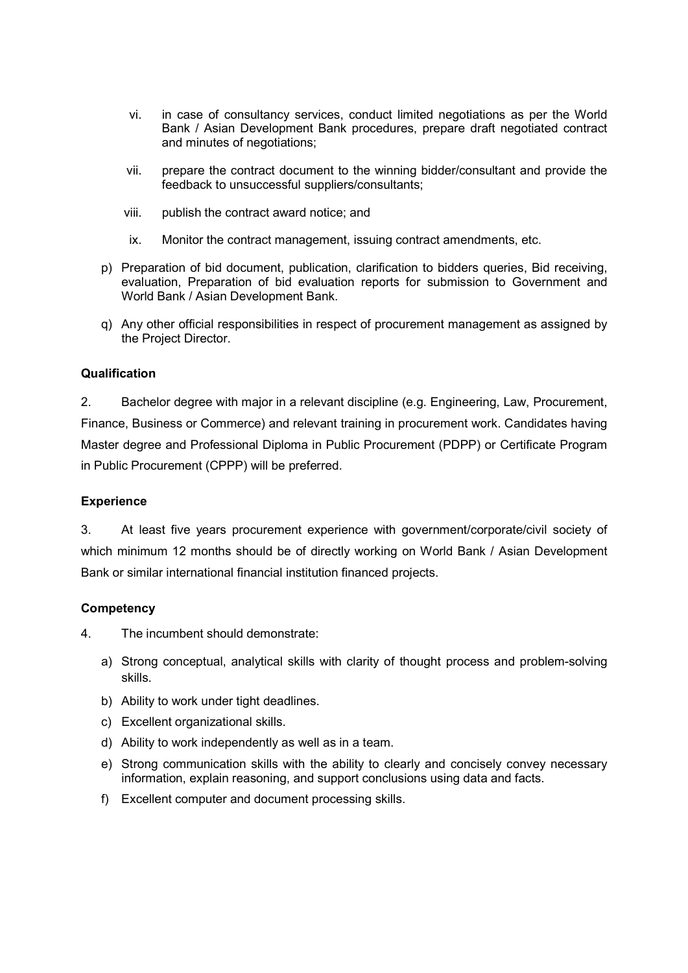- vi. in case of consultancy services, conduct limited negotiations as per the World Bank / Asian Development Bank procedures, prepare draft negotiated contract and minutes of negotiations;
- vii. prepare the contract document to the winning bidder/consultant and provide the feedback to unsuccessful suppliers/consultants;
- viii. publish the contract award notice; and
- ix. Monitor the contract management, issuing contract amendments, etc.
- p) Preparation of bid document, publication, clarification to bidders queries, Bid receiving, evaluation, Preparation of bid evaluation reports for submission to Government and World Bank / Asian Development Bank.
- q) Any other official responsibilities in respect of procurement management as assigned by the Project Director.

#### **Qualification**

2. Bachelor degree with major in a relevant discipline (e.g. Engineering, Law, Procurement, Finance, Business or Commerce) and relevant training in procurement work. Candidates having Master degree and Professional Diploma in Public Procurement (PDPP) or Certificate Program in Public Procurement (CPPP) will be preferred.

#### Experience

3. At least five years procurement experience with government/corporate/civil society of which minimum 12 months should be of directly working on World Bank / Asian Development Bank or similar international financial institution financed projects.

#### **Competency**

4. The incumbent should demonstrate:

- a) Strong conceptual, analytical skills with clarity of thought process and problem-solving skills.
- b) Ability to work under tight deadlines.
- c) Excellent organizational skills.
- d) Ability to work independently as well as in a team.
- e) Strong communication skills with the ability to clearly and concisely convey necessary information, explain reasoning, and support conclusions using data and facts.
- f) Excellent computer and document processing skills.